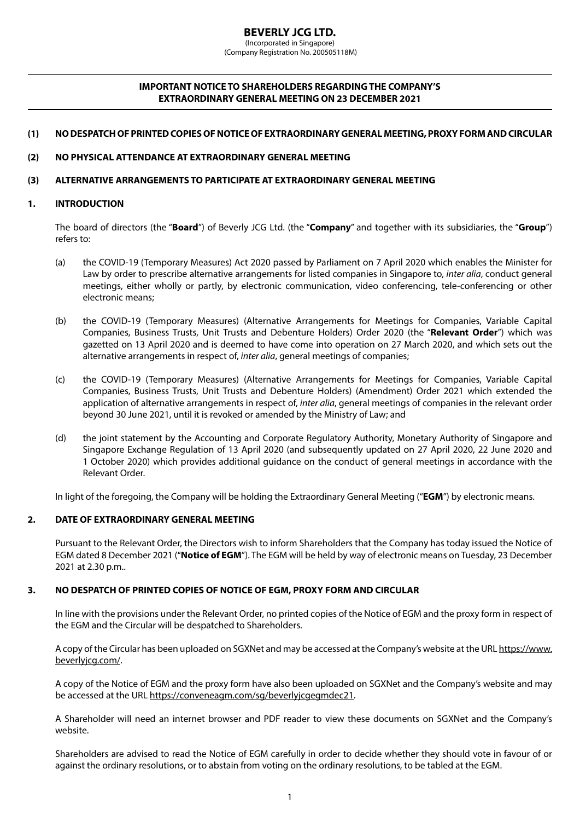# **IMPORTANT NOTICE TO SHAREHOLDERS REGARDING THE COMPANY'S EXTRAORDINARY GENERAL MEETING ON 23 DECEMBER 2021**

## **(1) NO DESPATCH OF PRINTED COPIES OF NOTICE OF EXTRAORDINARY GENERAL MEETING, PROXY FORM AND CIRCULAR**

## **(2) NO PHYSICAL ATTENDANCE AT EXTRAORDINARY GENERAL MEETING**

### **(3) ALTERNATIVE ARRANGEMENTS TO PARTICIPATE AT EXTRAORDINARY GENERAL MEETING**

### **1. INTRODUCTION**

The board of directors (the "**Board**") of Beverly JCG Ltd. (the "**Company**" and together with its subsidiaries, the "**Group**") refers to:

- (a) the COVID-19 (Temporary Measures) Act 2020 passed by Parliament on 7 April 2020 which enables the Minister for Law by order to prescribe alternative arrangements for listed companies in Singapore to, *inter alia*, conduct general meetings, either wholly or partly, by electronic communication, video conferencing, tele-conferencing or other electronic means;
- (b) the COVID-19 (Temporary Measures) (Alternative Arrangements for Meetings for Companies, Variable Capital Companies, Business Trusts, Unit Trusts and Debenture Holders) Order 2020 (the "**Relevant Order**") which was gazetted on 13 April 2020 and is deemed to have come into operation on 27 March 2020, and which sets out the alternative arrangements in respect of, *inter alia*, general meetings of companies;
- (c) the COVID-19 (Temporary Measures) (Alternative Arrangements for Meetings for Companies, Variable Capital Companies, Business Trusts, Unit Trusts and Debenture Holders) (Amendment) Order 2021 which extended the application of alternative arrangements in respect of, *inter alia*, general meetings of companies in the relevant order beyond 30 June 2021, until it is revoked or amended by the Ministry of Law; and
- (d) the joint statement by the Accounting and Corporate Regulatory Authority, Monetary Authority of Singapore and Singapore Exchange Regulation of 13 April 2020 (and subsequently updated on 27 April 2020, 22 June 2020 and 1 October 2020) which provides additional guidance on the conduct of general meetings in accordance with the Relevant Order.

In light of the foregoing, the Company will be holding the Extraordinary General Meeting ("**EGM**") by electronic means.

### **2. DATE OF EXTRAORDINARY GENERAL MEETING**

Pursuant to the Relevant Order, the Directors wish to inform Shareholders that the Company has today issued the Notice of EGM dated 8 December 2021 ("**Notice of EGM**"). The EGM will be held by way of electronic means on Tuesday, 23 December 2021 at 2.30 p.m..

### **3. NO DESPATCH OF PRINTED COPIES OF NOTICE OF EGM, PROXY FORM AND CIRCULAR**

In line with the provisions under the Relevant Order, no printed copies of the Notice of EGM and the proxy form in respect of the EGM and the Circular will be despatched to Shareholders.

A copy of the Circular has been uploaded on SGXNet and may be accessed at the Company's website at the URL https://www. beverlyjcg.com/.

A copy of the Notice of EGM and the proxy form have also been uploaded on SGXNet and the Company's website and may be accessed at the URL https://conveneagm.com/sg/beverlyjcgegmdec21.

A Shareholder will need an internet browser and PDF reader to view these documents on SGXNet and the Company's website.

Shareholders are advised to read the Notice of EGM carefully in order to decide whether they should vote in favour of or against the ordinary resolutions, or to abstain from voting on the ordinary resolutions, to be tabled at the EGM.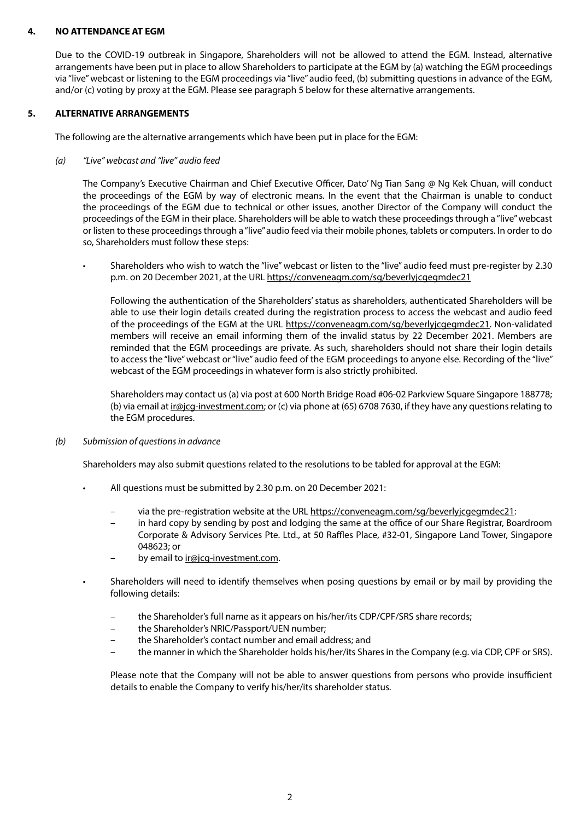## **4. NO ATTENDANCE AT EGM**

Due to the COVID-19 outbreak in Singapore, Shareholders will not be allowed to attend the EGM. Instead, alternative arrangements have been put in place to allow Shareholders to participate at the EGM by (a) watching the EGM proceedings via "live" webcast or listening to the EGM proceedings via "live" audio feed, (b) submitting questions in advance of the EGM, and/or (c) voting by proxy at the EGM. Please see paragraph 5 below for these alternative arrangements.

# **5. ALTERNATIVE ARRANGEMENTS**

The following are the alternative arrangements which have been put in place for the EGM:

## *(a) "Live" webcast and "live" audio feed*

The Company's Executive Chairman and Chief Executive Officer, Dato' Ng Tian Sang @ Ng Kek Chuan, will conduct the proceedings of the EGM by way of electronic means. In the event that the Chairman is unable to conduct the proceedings of the EGM due to technical or other issues, another Director of the Company will conduct the proceedings of the EGM in their place. Shareholders will be able to watch these proceedings through a "live" webcast or listen to these proceedings through a "live" audio feed via their mobile phones, tablets or computers. In order to do so, Shareholders must follow these steps:

• Shareholders who wish to watch the "live" webcast or listen to the "live" audio feed must pre-register by 2.30 p.m. on 20 December 2021, at the URL https://conveneagm.com/sg/beverlyjcgegmdec21

Following the authentication of the Shareholders' status as shareholders, authenticated Shareholders will be able to use their login details created during the registration process to access the webcast and audio feed of the proceedings of the EGM at the URL https://conveneagm.com/sg/beverlyjcgegmdec21. Non-validated members will receive an email informing them of the invalid status by 22 December 2021. Members are reminded that the EGM proceedings are private. As such, shareholders should not share their login details to access the "live" webcast or "live" audio feed of the EGM proceedings to anyone else. Recording of the "live" webcast of the EGM proceedings in whatever form is also strictly prohibited.

Shareholders may contact us (a) via post at 600 North Bridge Road #06-02 Parkview Square Singapore 188778; (b) via email at ir@jcg-investment.com; or (c) via phone at (65) 6708 7630, if they have any questions relating to the EGM procedures.

*(b) Submission of questions in advance*

Shareholders may also submit questions related to the resolutions to be tabled for approval at the EGM:

- All questions must be submitted by 2.30 p.m. on 20 December 2021:
	- via the pre-registration website at the URL https://conveneagm.com/sg/beverlyjcgegmdec21:
	- in hard copy by sending by post and lodging the same at the office of our Share Registrar, Boardroom Corporate & Advisory Services Pte. Ltd., at 50 Raffles Place, #32-01, Singapore Land Tower, Singapore 048623; or
	- by email to ir@jcg-investment.com.
- Shareholders will need to identify themselves when posing questions by email or by mail by providing the following details:
	- the Shareholder's full name as it appears on his/her/its CDP/CPF/SRS share records;
	- the Shareholder's NRIC/Passport/UEN number;
	- the Shareholder's contact number and email address; and
	- the manner in which the Shareholder holds his/her/its Shares in the Company (e.g. via CDP, CPF or SRS).

Please note that the Company will not be able to answer questions from persons who provide insufficient details to enable the Company to verify his/her/its shareholder status.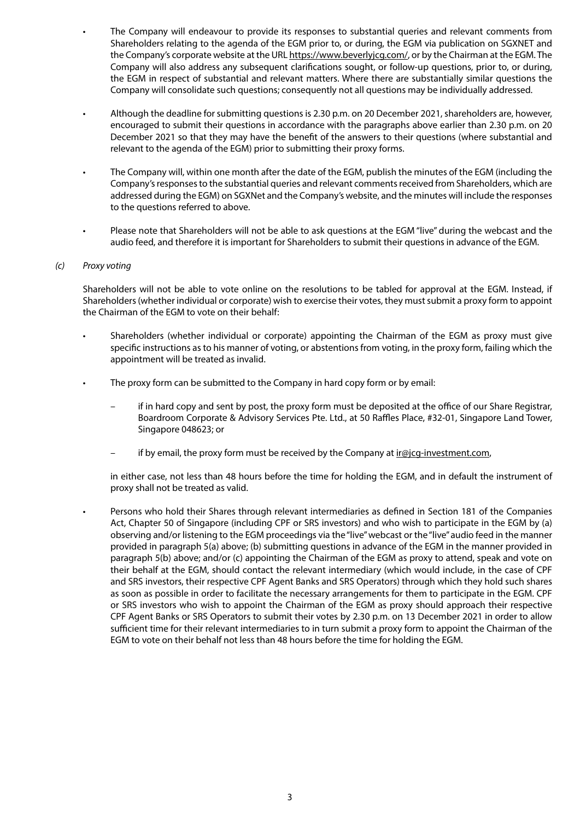- The Company will endeavour to provide its responses to substantial queries and relevant comments from Shareholders relating to the agenda of the EGM prior to, or during, the EGM via publication on SGXNET and the Company's corporate website at the URL https://www.beverlyjcg.com/, or by the Chairman at the EGM. The Company will also address any subsequent clarifications sought, or follow-up questions, prior to, or during, the EGM in respect of substantial and relevant matters. Where there are substantially similar questions the Company will consolidate such questions; consequently not all questions may be individually addressed.
- Although the deadline for submitting questions is 2.30 p.m. on 20 December 2021, shareholders are, however, encouraged to submit their questions in accordance with the paragraphs above earlier than 2.30 p.m. on 20 December 2021 so that they may have the benefit of the answers to their questions (where substantial and relevant to the agenda of the EGM) prior to submitting their proxy forms.
- The Company will, within one month after the date of the EGM, publish the minutes of the EGM (including the Company's responses to the substantial queries and relevant comments received from Shareholders, which are addressed during the EGM) on SGXNet and the Company's website, and the minutes will include the responses to the questions referred to above.
- Please note that Shareholders will not be able to ask questions at the EGM "live" during the webcast and the audio feed, and therefore it is important for Shareholders to submit their questions in advance of the EGM.

### *(c) Proxy voting*

Shareholders will not be able to vote online on the resolutions to be tabled for approval at the EGM. Instead, if Shareholders (whether individual or corporate) wish to exercise their votes, they must submit a proxy form to appoint the Chairman of the EGM to vote on their behalf:

- Shareholders (whether individual or corporate) appointing the Chairman of the EGM as proxy must give specific instructions as to his manner of voting, or abstentions from voting, in the proxy form, failing which the appointment will be treated as invalid.
- The proxy form can be submitted to the Company in hard copy form or by email:
	- if in hard copy and sent by post, the proxy form must be deposited at the office of our Share Registrar, Boardroom Corporate & Advisory Services Pte. Ltd., at 50 Raffles Place, #32-01, Singapore Land Tower, Singapore 048623; or
	- if by email, the proxy form must be received by the Company at ir@jcg-investment.com,

in either case, not less than 48 hours before the time for holding the EGM, and in default the instrument of proxy shall not be treated as valid.

• Persons who hold their Shares through relevant intermediaries as defined in Section 181 of the Companies Act, Chapter 50 of Singapore (including CPF or SRS investors) and who wish to participate in the EGM by (a) observing and/or listening to the EGM proceedings via the "live" webcast or the "live" audio feed in the manner provided in paragraph 5(a) above; (b) submitting questions in advance of the EGM in the manner provided in paragraph 5(b) above; and/or (c) appointing the Chairman of the EGM as proxy to attend, speak and vote on their behalf at the EGM, should contact the relevant intermediary (which would include, in the case of CPF and SRS investors, their respective CPF Agent Banks and SRS Operators) through which they hold such shares as soon as possible in order to facilitate the necessary arrangements for them to participate in the EGM. CPF or SRS investors who wish to appoint the Chairman of the EGM as proxy should approach their respective CPF Agent Banks or SRS Operators to submit their votes by 2.30 p.m. on 13 December 2021 in order to allow sufficient time for their relevant intermediaries to in turn submit a proxy form to appoint the Chairman of the EGM to vote on their behalf not less than 48 hours before the time for holding the EGM.